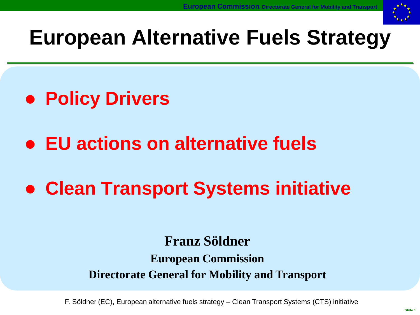

# **European Alternative Fuels Strategy**

- **Policy Drivers**
- **EU actions on alternative fuels**
- **Clean Transport Systems initiative**

#### **Franz Söldner**

#### **European Commission Directorate General for Mobility and Transport**

F. Söldner (EC), European alternative fuels strategy – Clean Transport Systems (CTS) initiative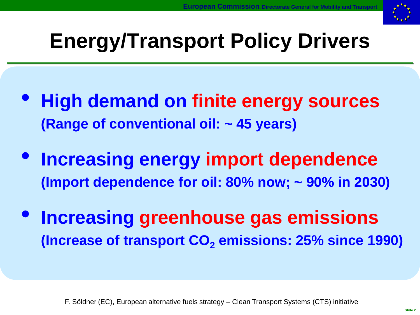

# **Energy/Transport Policy Drivers**

- **High demand on finite energy sources (Range of conventional oil: ~ 45 years)**
- **Increasing energy import dependence (Import dependence for oil: 80% now; ~ 90% in 2030)**
- **Increasing greenhouse gas emissions (Increase of transport CO<sup>2</sup> emissions: 25% since 1990)**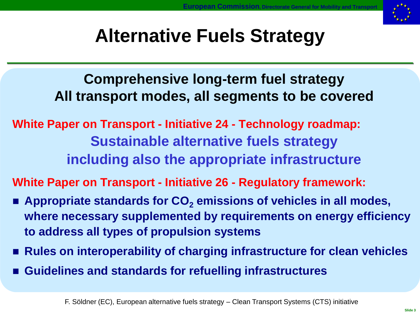

# **Alternative Fuels Strategy**

**Comprehensive long-term fuel strategy All transport modes, all segments to be covered**

**White Paper on Transport - Initiative 24 - Technology roadmap: Sustainable alternative fuels strategy including also the appropriate infrastructure**

**White Paper on Transport - Initiative 26 - Regulatory framework:**

- Appropriate standards for CO<sub>2</sub> emissions of vehicles in all modes, **where necessary supplemented by requirements on energy efficiency to address all types of propulsion systems**
- Rules on interoperability of charging infrastructure for clean vehicles
- **Guidelines and standards for refuelling infrastructures**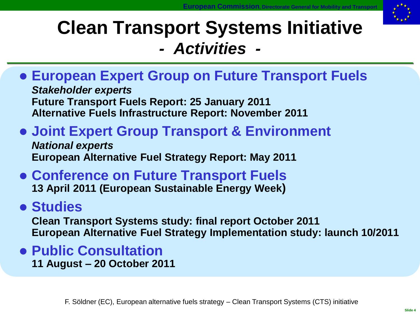

### **Clean Transport Systems Initiative** *- Activities -*

 **European Expert Group on Future Transport Fuels** *Stakeholder experts* **Future Transport Fuels Report: 25 January 2011**

**Alternative Fuels Infrastructure Report: November 2011**

#### **Joint Expert Group Transport & Environment**

*National experts* **European Alternative Fuel Strategy Report: May 2011**

#### **Conference on Future Transport Fuels 13 April 2011 (European Sustainable Energy Week)**

#### **Studies**

**Clean Transport Systems study: final report October 2011 European Alternative Fuel Strategy Implementation study: launch 10/2011**

#### **Public Consultation 11 August – 20 October 2011**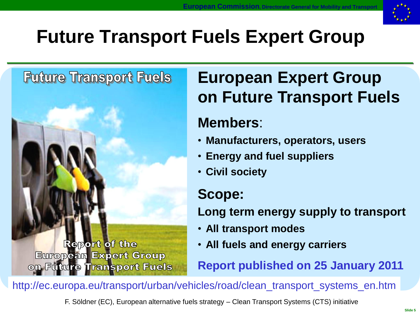

# **Future Transport Fuels Expert Group**

#### **Future Transport Fuels**

Report of the **European Expert Group** on Future Transport Fuels

## **European Expert Group on Future Transport Fuels**

#### **Members**:

- **Manufacturers, operators, users**
- **Energy and fuel suppliers**
- **Civil society**

#### **Scope:**

**Long term energy supply to transport**

- **All transport modes**
- **All fuels and energy carriers**

**Report published on 25 January 2011**

http://ec.europa.eu/transport/urban/vehicles/road/clean\_transport\_systems\_en.htm

F. Söldner (EC), European alternative fuels strategy – Clean Transport Systems (CTS) initiative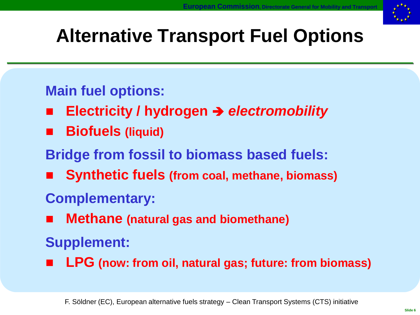

# **Alternative Transport Fuel Options**

#### **Main fuel options:**

- **Electricity / hydrogen**  *electromobility*
- **Biofuels (liquid)**
- **Bridge from fossil to biomass based fuels:**
- **Synthetic fuels (from coal, methane, biomass)**

### **Complementary:**

**Methane (natural gas and biomethane)**

### **Supplement:**

**LPG (now: from oil, natural gas; future: from biomass)**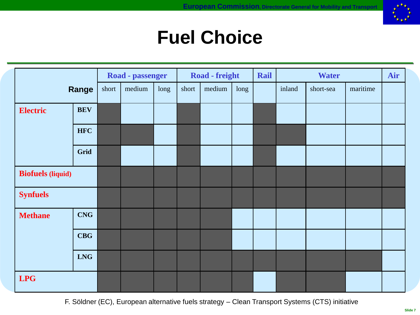

### **Fuel Choice**

|                          |            | Road - passenger |        |      | Road - freight |        |      | Rail | <b>Water</b> |           |          | Air |
|--------------------------|------------|------------------|--------|------|----------------|--------|------|------|--------------|-----------|----------|-----|
| Range                    |            | short            | medium | long | short          | medium | long |      | inland       | short-sea | maritime |     |
| <b>Electric</b>          | <b>BEV</b> |                  |        |      |                |        |      |      |              |           |          |     |
|                          | <b>HFC</b> |                  |        |      |                |        |      |      |              |           |          |     |
|                          | Grid       |                  |        |      |                |        |      |      |              |           |          |     |
| <b>Biofuels</b> (liquid) |            |                  |        |      |                |        |      |      |              |           |          |     |
| <b>Synfuels</b>          |            |                  |        |      |                |        |      |      |              |           |          |     |
| <b>Methane</b>           | <b>CNG</b> |                  |        |      |                |        |      |      |              |           |          |     |
|                          | <b>CBG</b> |                  |        |      |                |        |      |      |              |           |          |     |
|                          | <b>LNG</b> |                  |        |      |                |        |      |      |              |           |          |     |
| <b>LPG</b>               |            |                  |        |      |                |        |      |      |              |           |          |     |

F. Söldner (EC), European alternative fuels strategy – Clean Transport Systems (CTS) initiative